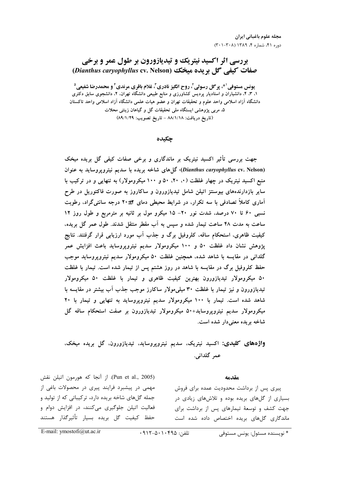## بررسی اثر اکسید نیتریک و تیدیازورون بر طول عمر و برخی صفات کیفے گل بریدہ میخک (Dianthus caryophyllus cv. Nelson)

یونس مستوفی <sup>۱ \*</sup>، پر گل رسولی <sup>۲</sup>، روح انگیز نادری <sup>۳</sup>، غلام باقری مرندی ٔ و محمدرضا شفیعی <sup>۵</sup> ۱. ۳. ۴. دانشیاران و استادیار پردیس کشاورزی و منابع طبیعی دانشگاه تهران. ۲. دانشجوی سابق دکتری دانشگاه آزاد اسلامی واحد علوم و تحقیقات تهران و عضو هیات علمی دانشگاه آزاد اسلامی واحد تاکستان ۵، مربی پژوهشی ایستگاه ملی تحقیقات گل و گیاهان زینتی محلات (تاريخ دريافت: ٨٨/١/١٨ - تاريخ تصويب: ٨٩/١/٢٩)

چکیده

جهت بررسی تأثیر اکسید نیتریک بر ماندگاری و برخی صفات کیفی گل بریده میخک (Dianthus caryophyllus cv. Nelson)، گلهای شاخه بریده با سدیم نیتروپروساید به عنوان منبع اکسید نیتریک در چهار غلظت (۰، ۲۰، ۵۰ و ۱۰۰ میکرومولار) به تنهایی و در ترکیب با سایر بازدارندههای بیوسنتز اتیلن شامل تیدیازورون و ساکاروز به صورت فاکتوریل در طرح آماری کاملاً تصادفی با سه تکرار، در شرایط محیطی دمای ۲+۲۰ درجه سانتی گراد، رطوبت نسبی ۶۰ تا ۷۰ درصد، شدت نور ۲۰– ۱۵ میکرو مول بر ثانیه بر مترمربع و طول روز ۱۲ ساعت به مدت ۴۸ ساعت تیمار شده و سپس به آب مقطر منتقل شدند. طول عمر گل بریده، کیفیت ظاهری، استحکام ساقه، کلروفیل برگ و جذب آب مورد ارزیابی قرار گرفتند. نتایج پژوهش نشان داد غلظت ۵۰ و ۱۰۰ میکرومولار سدیم نیتروپروساید باعث افزایش عمر گلدانی در مقایسه با شاهد شده، همچنین غلظت ۵۰ میکرومولار سدیم نیتروپروساید موجب حفظ کلروفیل برگ در مقایسه با شاهد در روز هشتم پس از تیمار شده است. تیمار با غلظت ۵۰ میکرومولار تیدیازورون بهترین کیفیت ظاهری و تیمار با غلظت ۵۰ میکرومولار تیدیازورون و نیز تیمار با غلظت ۳۰ میلی مولار ساکارز موجب جذب آب بیشتر در مقایسه با شاهد شده است. تیمار با ۱۰۰ میکرومولار سدیم نیتروپروساید به تنهایی و تیمار با ۲۰ میکرومولار سدیم نیتروپروساید+۵۰ میکرومولار تیدیازورون بر صفت استحکام ساقه گل شاخه بريده معنى دار شده است.

# **واژههای کلیدی:** اکسید نیتریک، سدیم نیتروپروساید، تیدیازورون، گل بریده میخک، عمر گلدانی.

#### مقدمه

(Pun et al., 2005). از آنجا که هورمون اتیلن نقش مهمی در پیشبرد فرایند پیری در محصولات باغی از جمله گلهای شاخه بریده دارد، ترکیباتی که از تولید و فعالیت اتیلن جلوگیری میکنند، در افزایش دوام و حفظ كيفيت گل بريده بسيار تأثيرگذار هستند

پیری پس از برداشت محدودیت عمده برای فروش بسیاری از گلهای بریده بوده و تلاشهای زیادی در جهت کشف و توسعهٔ تیمارهای پس از برداشت برای ماندگاری گلهای بریده اختصاص داده شده است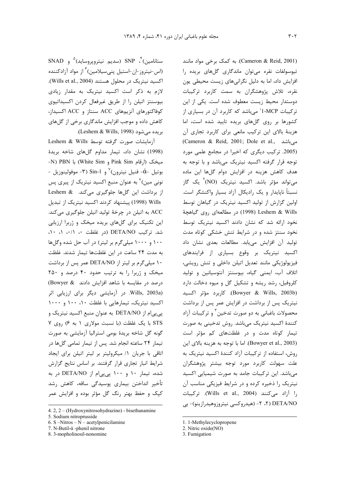SNAD (سديم نيترويروسايد)  $\text{SNP}$  (سديم نيترويروسايد) (اس-نیتروز-ان-استیل پنی سیلامین) <sup>۶</sup> از مواد آزادکننده اکسید نیتریک در محلول هستند (Wills et al., 2004). لازم به ذکر است اکسید نیتریک به مقدار زیادی بیوسنتز اتیلن را از طریق غیرفعال کردن اکسیداتیوی كوفاكتورهاى آنزيمهاى ACC سنتاز و ACC اكسيداز، کاهش داده و موجب افزایش ماندگاری برخی از گلهای بريده مي شود (Leshem & Wills, 1998).

licshem & Wills توسط Leshem & Wills (1998) نشان داد، تیمار مداوم گلهای شاخه بریدهٔ -N) PBN با (White Sim) و White Sim) با PDN-- بوتيل - $\alpha$ - فنيل نيترون)  $^{\vee}$ و Sin-1 (٣- موفولينوزيل نونی مین)^ به عنوان منبع اکسید نیتریک از پیری پس از برداشت این گلها جلوگیری می کند. Leshem & Wills (1998) پیشنهاد کردند اکسید نیتریک از تبدیل ACC به اتیلن در چرخهٔ تولید اتیلن جلوگیری میکند. این تکنیک برای گلهای بریده میخک و ژربرا ارزیابی شد. ترکیب DETA/NO (در غلظت ۰، ۰/۱، ۰، ۱، ۱۰۰ و ۱۰۰۰ میلی گرم بر لیتر) در آب حل شده وگلها به مدت ٢۴ ساعت در این غلظتها تیمار شدند. غلظت ۱۰ میلیگرم بر لیتر از DETA/NO عمر پس از برداشت میخک و ژربرا را به ترتیب حدود ۴۰ درصد و ۲۵۰ درصد در مقایسه با شاهد افزایش دادند Bowyer & Wills, 2003a). در آزمایشی دیگر برای ارزیابی اثر اکسید نیتریک، تیمارهایی با غلظت ١٠، ١٠٠ و ١٠٠٠ یے یے ام از DETA/NO به عنوان منبع اکسید نیتریک و STS با یک غلظت (با نسبت مولاری ١ به ۶) روی ٧ گونه گل شاخه بریدهٔ بومی استرالیا آزمایشی به صورت تیمار ٢۴ ساعته انجام شد. پس از تیمار تمامی گلها در اتاقی با جریان ١/ میکرولیتر بر لیتر اتیلن برای ایجاد شرایط انبار تجاری قرار گرفتند. بر اساس نتایج گزارش شده، تیمار ۱۰ و ۱۰۰ پیپیام از DETA/NO در به تأخیر انداختن بیماری پوسیدگی ساقه، کاهش رشد کیک و حفظ بهتر رنگ گل مؤثر بوده و افزایش عمر (Cameron & Reid, 2001). به کمک برخی مواد مانند تيوسولفات نقره مي توان ماندگاري گلهاي بريده را افزایش داد، اما به دلیل نگرانیهای زیست محیطی یون نقره، تلاش پژوهشگران به سمت کاربرد ترکیبات دوستدار محیط زیست معطوف شده است. یکی از این ترکیبات I-MCP' میباشد که کاربرد آن در بسیاری از کشورها بر روی گلهای بریده تایید شده است، اما هزینهٔ بالای این ترکیب مانعی برای کاربرد تجاری آن (Cameron & Reid, 2001; Dole et al., میباشد (2005. ترکیب دیگری که اخیرا در مجامع علمی مورد توجه قرار گرفته اکسید نیتریک میباشد و با توجه به هدف کاهش هزینه در افزایش دوام گلها این ماده میتواند مؤثر باشد. اکسید نیتریک (NO)<sup>۲</sup> یک گاز نسبتاً ناپایدار و یک رادیکال آزاد بسیار واکنشگر است. اولین گزارش از تولید اکسید نیتریک در گیاهان توسط Leshem & Wills (1998) در مطالعهای روی گیاهچهٔ نخود ارائه شد که نشان دادند اکسید نیتریک توسط نخود سنتز شده و در شرایط تنش خشکی کوتاه مدت توليد آن افزايش مي يابد. مطالعات بعدي نشان داد اکسید نیتریک بر وقوع بسیاری از فرایندهای فیزیولوژیکی مانند تعدیل اتیلن داخلی و تنش رویشی، اتلاف آب، ایمنی گیاه، بیوسنتز آنتوسیانین و تولید کلروفیل، رشد ریشه و تشکیل گل و میوه دخالت دارد (Bowyer & Wills, 2003b). كاربرد مؤثر اكسيد نیتریک پس از برداشت در افزایش عمر پس از برداشت محصولات باغبانی به دو صورت تدخین آ و ترکیبات آ;اد كنندهٔ اكسيد نيتريک مي باشد. روش تدخيني به صورت تیمار کوتاه مدت و در غلظتهای کم مؤثر است (Bowyer et al., 2003). اما با توجه به هزينه بالاي اين روش، استفاده از ترکیبات آزاد کنندهٔ اکسید نیتریک به علت سهولت کاربرد مورد توجه بیشتر پژوهشگران می باشد. این ترکیبات جامد به صورت شیمیایی اکسید نیتریک را ذخیره کرده و در شرایط فیزیکی مناسب آن را آزاد میکنند (Wills et al., 2004). ترکیبات DETA/NO (۲، ۲- (هیدروکسی نیتروزوهیدرازینو)- بی

<sup>4. 2, 2 – (</sup>Hydroxynitrosohydrazino) - bisethanamine

<sup>5.</sup> Sodium nitroprusside

<sup>6.</sup> S -Nitros -  $N$  - acetylpenicilamine

<sup>7.</sup> N-Butil- $\alpha$ -phenil nitrone

<sup>8. 3-</sup>mopholinosil-nonomine

<sup>1. 1-</sup>Methylecyclopropene

<sup>2.</sup> Nitric  $\overline{oxide(NO)}$ 

<sup>3.</sup> Fumigation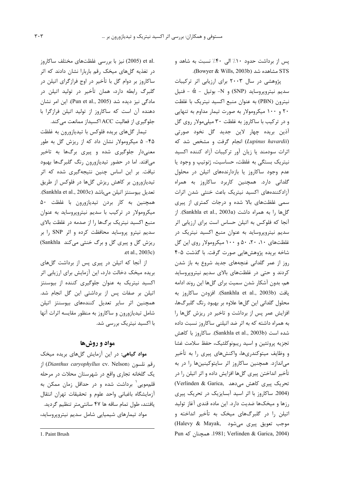یس از برداشت حدود ۱۰٪ الی ۴۰٪ نسبت به شاهد و STS مشاهده شد (Bowyer & Wills, 2003b).

پژوهشی در سال ۲۰۰۳ برای ارزیابی اثر ترکیبات سديم نيترويروسايد (SNP) و N- بوتيل -  $\dot{\alpha}$  - فنيل نيترون (PBN) به عنوان منبع اكسيد نيتريك با غلظت ۲۰ و ۱۰۰ میکرومولار به صورت تیمار مداوم به تنهایی و در ترکیب با ساکاروز به غلظت ۳۰ میلی مولار روی گل آذين بريده چهار لاين جديد گل نخود صورتي (Lupinus havardii) انجام گرفت و مشخص شد که اثرات سودمند یا زیان آور ترکیبات آزاد کننده اکسید نیتریک بستگی به غلظت، حساسیت، ژنوتیپ و وجود یا عدم وجود ساكاروز يا بازدارندههاى اتيلن در محلول گلدانی دارد. همچنین کاربرد ساکاروز به همراه آزادکنندههای اکسید نیتریک باعث خنثی شدن اثرات سمی غلظتهای بالا شده و درجات کمتری از پیری گلها را به همراه داشت (Sankhla et al., 2003a). از آنجا که فلوکس به اتیلن حساس است برای ارزیابی اثر سدیم نیتروپروساید به عنوان منبع اکسید نیتریک در غلظتهای ۰۱۰ ۲۰، ۵۰ و ۱۰۰ میکرومولار روی این گل شاخه بریده پژوهشهایی صورت گرفت. با گذشت ۵-۴ روز از عمر گلدانی غنچههای جدید شروع به باز شدن کردند و حتی در غلظتهای بالای سدیم نیتروپروساید هم، بدون آشکار شدن سمیت برای گلها این روند ادامه يافت (Sankhla et al., 2003b). افزودن ساكاروز به محلول گلدانی این گلها علاوه بر بهبود رنگ گلبرگها، افزایش عمر پس از برداشت و تاخیر در ریزش گلها را به همراه داشته که به اثر ضد اتیلنی ساکاروز نسبت داده شده است (Sankhla et al., 2003b). ساكاروز با كاهش تجزيه پروتئين و اسيد ريبونوكلئيک، حفظ سلامت غشا و وظایف میتوکندریها، واکنشهای پیری را به تأخیر می اندازد. همچنین ساکاروز اثر سایتوکینینها را در به تأخیر انداختن پیری گلها افزایش داده و اثر اتیلن را در تحریک پیری کاهش میدهد ,Verlinden & Garica (2004. ساكاروز با اثر اسيد آبسايزيك در تحريك پيرى رزها و میخکها ضدیت دارد. این ماده قندی آغاز تولید اتیلن را در گلبرگهای میخک به تأخیر انداخته و موجب تعويق پيري مي شود ,Halevy & Mayak Pun همچنان که 1981; Verlinden & Garica, 2004)

.et al (2005) نیز با بررسی غلظتهای مختلف ساکاروز در تغذیه گلهای میخک رقم باربارا نشان دادند که اثر ساکاروز بر دوام گل با تأخیر در اوج فرازگرای اتیلن در گلبرگ رابطه دارد، همان تأخیر در تولید اتیلن در مادگی نیز دیده شد (Pun et al., 2005). این امر نشان دهنده آن است که ساکاروز از تولید اتیلن فرازگرا با جلوگیری از فعالیت ACC اکسیداز ممانعت می کند.

تیمار گلهای بریده فلوکس با تیدیازورون به غلظت ۴۵- ۵ میکرومولار نشان داد که از ریزش گل به طور معنیدار جلوگیری شده و پیری برگها به تاخیر میافتد. اما در حضور تیدیازورون رنگ گلبرگها بهبود نیافت. بر این اساس چنین نتیجهگیری شده که اثر تیدیازورون بر کاهش ریزش گلها در فلوکس از طریق تعديل بيوسنتز اتيلن ميباشد (Sankhla et al., 2003c). همچنین به کار بردن تیدیازورون با غلظت ۵۰ میکرومولار در ترکیب با سدیم نیتروپروساید به عنوان منبع اکسید نیتریک برگها را از صدمه در غلظت بالای سديم نيترو پروسايد محافظت كرده و اثر SNP را بر ریزش گل و پیری گل و برگ خنثی می کند Sankhla) .et al., 2003c)

از آنجا که اتیلن در پیری پس از برداشت گلهای بریده میخک دخالت دارد، این آزمایش برای ارزیابی اثر اکسید نیتریک به عنوان جلوگیری کننده از بیوسنتز اتیلن بر صفات پس از برداشتی این گل انجام شد. همچنین اثر سایر تعدیل کنندههای بیوسنتز اتیلن شامل تیدیازورون و ساکاروز به منظور مقایسه اثرات آنها با اکسید نیتریک بررسی شد.

## مواد و روشها

مواد گیاهی: در این آزمایش گلهای بریده میخک ; قم نلسون (*Dianthus caryophyllus* cv. Nelson) ا; یک گلخانه تجاری واقع در شهرستان محلات در مرحله قلم،مویی ٰ برداشت شده و در حداقل زمان ممکن به آزمايشگاه باغباني واحد علوم و تحقيقات تهران انتقال یافتند، طول تمام ساقه ها ۴۷ سانتی متر تنظیم گردید. مواد تیمارهای شیمیایی شامل سدیم نیتروپروساید،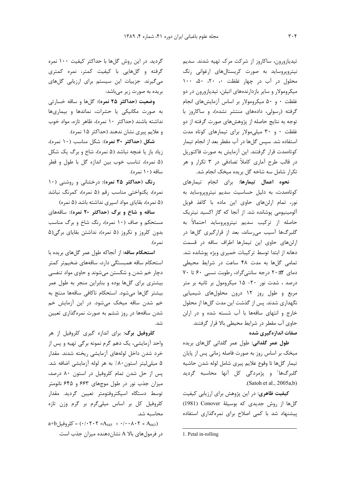تیدیازورون، ساکاروز از شرکت مرک تهیه شدند. سدیم نیتروپروساید به صورت کریستالهای ارغوانی رنگ محلول در آب در چهار غلظت ۰، ۲۰، ۵۰، ۱۰۰ میکرومولار و سایر بازدارندههای اتیلن، تیدیازورون در دو غلظت ۰ و ۵۰ میکرومولار بر اساس آزمایشهای انجام گرفته (رسولی، دادههای منتشر نشده)، و ساکاروز با توجه به نتایج حاصله از پژوهش های صورت گرفته از دو غلظت ۰ و ۳۰ میلی مولار برای تیمارهای کوتاه مدت استفاده شد. سپس گلها در آب مقطر بعد از انجام تیمار کوتاهمدت قرار گرفتند. این آزمایش به صورت فاکتوریل در قالب طرح آماری کاملاً تصادفی در ۳ تکرار و هر تکرار شامل سه شاخه گل بریده میخک انجام شد.

نحوه اعمال تيمارها: براى انجام تيمارهاى كوتاهمدت، به دليل حساسيت سديم نيتروپروسايد به نور، تمام ارلنهای حاوی این ماده با کاغذ فویل آلومینیومی پوشانده شد. از آنجا که گاز اکسید نیتریک حاصله از ترکیب سدیم نیتروپروساید احتمالاً به گلبرگها آسیب می ساند، بعد از قرارگیری گلها در ارلنهای حاوی این تیمارها اطراف ساقه در قسمت دهانه از ابتدا توسط ترکیبات خمیری ویژه پوشانده شد. تمامی گلها به مدت ۴۸ ساعت در شرایط محیطی دمای ٢+٢٠ درجه سانتی گراد، رطوبت نسبی ۶٠ تا ٧٠ درصد ، شدت نور ٢٠- ١۵ ميكرومول بر ثانيه بر متر مربع وطول روز ١٢ درون محلولهاى شيميايي نگهداری شدند. پس از گذشت این مدت گلها از محلول خارج و انتهای ساقهها با آب شسته شده و در ارلن حاوی آب مقطر در شرایط محیطی بالا قرار گرفتند. صفات اندازهگیری شده

**طول عمر گلدانی**: طول عمر گلدانی گلهای بریده میخک بر اساس روز به صورت فاصله زمانی پس از پایان تيمار گلها تا وقوع علايم پيري شامل لوله شدن حاشيه گلبرگها' و پژمردگی کل اُنها محاسبه گردید  $(Satoh et al., 2005a,b)$ 

کیفیت ظاهری: در این پژوهش برای ارزیابی کیفیت گلها از روش جدیدی که بوسیلهٔ Conover (1981) پیشنهاد شد با کمی اصلاح برای نمرهگذاری استفاده

1. Petal in-rolling

گردید. در این روش گلها با حداکثر کیفیت ۱۰۰ نمره گرفته و گلهایی با کیفیت کمتر، نمره کمتری میگیرند. جزییات این سیستم برای ارزیابی گلهای بریده به صورت زیر میباشد:

وضعيت (حداكثر ٢٥ نمره): گلها و ساقه خسارتي به صورت مکانیکی یا حشرات، نماتدها و بیماریها نداشته باشند (حداكثر ١٠ نمره)، ظاهر تازه، مواد خوب و علايم پيري نشان ندهند (حداكثر ۱۵ نمره).

شكل (حداكثر ٣٠ نمره): شكل مناسب (١٠ نمره)، زیاد باز یا غنچه نباشد (۵ نمره)، شاخ و برگ یک شکل (۵ نمره)، تناسب خوب بين اندازه گل با طول و قطر ساقه (۱۰ نمره).

رنگ (حداکثر ۲۵ نمره): درخشانی و روشنی (۱۰ نمره)، یکنواختی مناسب رقم (۵ نمره)، کمرنگ نباشد (۵ نمره)، بقایای مواد اسیری نداشته باشد (۵ نمره)

ساقه و شاخ و برگ (حداکثر ۲۰ نمره): ساقههای مستحکم و صاف (۱۰ نمره)، رنگ شاخ و برگ مناسب بدون کلروز و نکروز (۵ نمره)، نداشتن بقایای برگی(۵ نمره).

استحکام ساقه: از آنجاکه طول عمر گلهای بریده با استحکام ساقه همبستگی دارد، ساقههای ضخیمتر کمتر دچار خم شدن و شکستن میشوند و حاوی مواد تنفسی بیشتری برای گلها بوده و بنابراین منجر به طول عمر بیشتر گلها میشود. استحکام ناکافی ساقهها منتج به خم شدن ساقه میخک میشود. در این آزمایش خم شدن ساقهها در روز ششم به صورت نمرهگذاری تعیین شد.

کلروفیل برگ: برای اندازه گیری کلروفیل از هر واحد آزمایشی، یک دهم گرم نمونه برگی تهیه و پس از خرد شدن داخل لولههای آزمایشی ریخته شدند. مقدار ۵ میلے لیتر استون ۸۰٪ به هر لوله آزمایشی اضافه شد. پس از حل شدن تمام کلروفیل در استون ۸۰ درصد، میزان جذب نور در طول موجهای ۶۶۳ و ۶۴۵ نانومتر توسط دستگاه اسپکتروفتومتر تعيين گرديد. مقدار کلروفیل کل بر اساس میلیگرم بر گرم وزن تازه محاسبه شد.

 $a+b$  كلروفيل $= (\cdot/\cdot \tau \cdot \tau \times A_{645} + \cdot/\cdot \cdot \lambda \cdot \tau \times A_{663})$ در فرمولهای بالا A نشان دهنده میزان جذب است.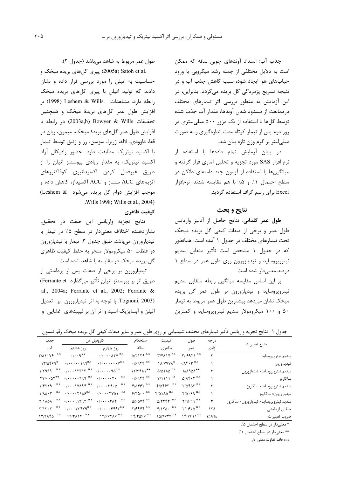جذب آب: انسداد آوندهای چوبی ساقه که ممکن است به دلایل مختلفی از جمله رشد میکروبی یا ورود حبابهای هوا ایجاد شود، سبب کاهش جذب آب و در نتیجه تسریع پژمردگی گل بریده میگردد. بنابراین، در این آزمایش به منظور بررسی اثر تیمارهای مختلف درممانعت از مسدود شدن آوندها، مقدار آب جذب شده توسط گلها با استفاده از یک مزور ۵۰۰ میلی لیتری در روز دوم پس از تیمار کوتاه مدت اندازهگیری و به صورت میلیلیتر بر گرم وزن تازه بیان شد.

در یایان آزمایش تمام دادهها با استفاده از نرم افزار SAS مورد تجزیه و تحلیل آماری قرار گرفته و میانگینها با استفاده از آزمون چند دامنهای دانکن در سطح احتمال ۱٪ و ۵٪ با هم مقایسه شدند. نرمافزار Excel برای رسم گراف استفاده گردید.

#### نتايج و بحث

طول عمر گلدانی: نتایج حاصل از آنالیز واریانس طول عمر و برخی از صفات کیفی گل بریده میخک تحت تیمارهای مختلف در جدول ۱ آمده است. همانطور که در جدول ۱ مشخص است تأثیر متقابل سدیم نیتروپروساید و تیدیازورون روی طول عمر در سطح ۱ درصد معنىدار شده است.

بر این اساس مقایسه میانگین رابطه متقابل سدیم نیتروپروساید و تیدیازورون بر طول عمر گل بریده میخک نشان میدهد بیشترین طول عمر مربوط به تیمار ۵۰ و ۱۰۰ میکرومولار سدیم نیتروپروساید و کمترین

طول عمر مربوط به شاهد میباشد (جدول ٢).

.2005a) Satoh et alپیری گلهای بریده میخک و حساسیت به اتیلن را مورد بررسی قرار داده و نشان دادند که تولید اتیلن با پیری گلهای بریده میخک رابطه دارد. مشاهدات .Leshem & Wills (1998) بر افزایش طول عمر گلهای بریدهٔ میخک و همچنین تحقيقات Bowyer & Wills (2003a,b) Bowyer لار رابطه با افزایش طول عمر گلهای بریدهٔ میخک، میمون، زبان در قفا، داوودی، لاله، ژربرا، سوسن، رز و زنبق توسط تیمار با اکسید نیتریک مطابقت دارد. حضور رادیکال آزاد اکسید نیتریک، به مقدار زیادی بیوسنتز اتیلن را از طريق غيرفعال كردن اكسيداتيوي كوفاكتورهاي آنزیمهای ACC سنتاز و ACC اکسیداز، کاهش داده و موجب افزایش دوام گل بریده می شود (Leshem & Wills 1998; Wills et al., 2004).

#### كيفيت ظاهري

نتايج تجزيه واريانس اين صفت در تحقيق، نشان دهنده اختلاف معنى دار در سطح ۰.۵ در تیمار با تیدیازورون میباشد. طبق جدول ۳، تیمار با تیدیازورون در غلظت ۵۰ میکرومولار منجر به حفظ کیفیت ظاهری گل بریده میخک در مقایسه با شاهد شده است.

تیدیازورون بر برخی از صفات پس از برداشتی از طريق اثر بر بيوسنتز اتيلن تأثير ميگذارد Ferrante et) al., 2004a; Ferrante et al., 2002; Ferrante & Tognoni, 2003). با توجه به اثر تيديازورون بر تعديل اتیلن و آبسایزیک اسید و اثر آن بر لیپیدهای غشایی و

جدول ١- نتايج تجزيه واريانس تأثير تيمارهاي مختلف شيميايي بر روى طول عمر و ساير صفات كيفي گل بريده ميخک رقم نلسون

| منبع تغييرات                           | درجه            | طول                                           | كيفيت                                                                                    | استحكام                                  | كلروفيل كل                                                       |                                                                                                                                             | جذب                                                          |
|----------------------------------------|-----------------|-----------------------------------------------|------------------------------------------------------------------------------------------|------------------------------------------|------------------------------------------------------------------|---------------------------------------------------------------------------------------------------------------------------------------------|--------------------------------------------------------------|
|                                        | أزادى           | عمر                                           | ظاهري                                                                                    | ساقه                                     | روز چهارم                                                        | روز هشتم                                                                                                                                    | آب                                                           |
| سديم نيتروپروسايد                      | ٣               | $Y/99Y1^{n.s}$                                | $\Upsilon/\Upsilon\Lambda$ \ $\Upsilon^{n.s}$                                            | $\Delta$ /۲۱۲۹ $^{n.s}$                  | $\cdot/\cdots$ $\lambda$ $\mathsf{YV}^{n.s}$                     | $\cdot/\cdot\cdot$ 9**                                                                                                                      | $\gamma/\lambda \rightarrow \gamma$ $\gamma$ $\sim$ $^{n.s}$ |
| تيديازورون                             |                 | $\cdot/\lambda f \cdot \gamma$ <sup>n.s</sup> | <b><i>\A/YYYA*</i></b>                                                                   | $\cdot$ / $\epsilon$ 944 $^{\text{n.s}}$ | $\cdot/\cdots\cdots\cdot\gamma^{n.s}$                            | $\cdot/\cdots\cdot\gamma$ q <sup>n.s</sup>                                                                                                  | $17/0559*$                                                   |
| سديم نيتروپروسايد× تيديازورون          | ٣               | $\lambda/\lambda$ 94 $\lambda^*$              | $\Delta/\Delta$ 1 $\Lambda\Delta$ <sup>n.s</sup>                                         | $17/T911**$                              |                                                                  | $\cdot/\cdot\cdot\cdot$ $\uparrow\uparrow\uparrow\uparrow\uparrow$ <sup>n.s</sup> $\cdot/\cdot\cdot\cdot\cdot\uparrow\Delta$ <sup>n.s</sup> | $1/7959$ <sup>n.s</sup>                                      |
| ساكاروز                                |                 | $\Delta/\lambda \xi \cdot \zeta^{n.s}$        | $Y/\Upsilon \Upsilon \Upsilon^{n.s}$                                                     | $\cdot$ / $\epsilon$ 944 $^{\text{n.s}}$ | n.s<br>$\cdot$ / $\cdot$ $\cdot$ $\cdot$ $\cdot$ $\cdot$ $\cdot$ | $\cdot/\cdot \cdot \cdot \cdot$ 999 $^{\text{n.s}}$                                                                                         | $fV/\cdot \Delta V^{**}$                                     |
| سديم نيتروپروسايد× ساكاروز             | ٣               | $Y/\Delta f \Delta Y$ <sup>n.s</sup>          | $f/\Delta f f f^{-n.s}$                                                                  | $f/\Delta f f \gamma^{n.s}$              | n.s                                                              | $\cdot$ / $\cdot$ $\cdot$ $\cdot$ $\vee$ $\wedge$ $\wedge$ $\uparrow$ <sup>n.s</sup> / $\cdot$ $\cdot$ $\cdot$ $\uparrow$ $\wedge$ $\wedge$ | $1/\mathfrak{f} \mathfrak{f} 1 \mathfrak{q}$ <sup>n.s</sup>  |
| تيديازورون×ساكاروز                     |                 | $Y/\Delta \cdot 59$ <sup>n.s</sup>            | $f/\Delta$ $\Lambda\Delta$ <sup>n.s</sup>                                                | $8/80 \cdot \cdot$ <sup>n.s</sup>        | n.s                                                              | $\cdot/\cdots\cdot\gamma\setminus\lambda\mathcal{S}^{n.s}$                                                                                  | $1/\lambda\lambda\cdot\Upsilon$ <sup>n.s</sup>               |
| سديم نيتروپروسايد× تيديازورون× ساكاروز | ٣               | $Y/9999$ <sup>n.s</sup>                       | $\Delta$ / $\mathbf{f}$ $\mathbf{f}$ $\mathbf{f}$ $\mathbf{f}$ $\mathbf{f}$ $\mathbf{f}$ | $\Delta$ / $5\Delta$ V $5^{n.5}$         | $\cdot/\cdots$ $f\wedge f$ <sup>n.s</sup>                        | $\cdot/\cdot\cdot$ 9/1797 $n.s$                                                                                                             | n.s<br><b>T/1AQA</b>                                         |
| خطاى آزمايشى                           | 15 <sub>A</sub> | $Y/\cdot 5Y\Delta$ <sup>n.s</sup>             | $f/\Upsilon\Delta$ . n.s                                                                 | $Y/S9FF^{R.S}$                           | $\cdot/\cdots$ erg $n^{\text{n.s}}$                              | $\cdot/\cdots$                                                                                                                              | n.s<br>$T/1T \cdot T$                                        |
| ضريب تغييرات                           | $C.V\%$         | $\left(\frac{F}{Y}\right)^{n.s}$              | $10/9$ $55$                                                                              | 15/665                                   | 17/۶۶۲۸۶ n.s                                                     | $19/T\lambda 17$ <sup>n.s</sup>                                                                                                             | $1Y/T\Lambda f\Delta$ <sup>n.s</sup>                         |

\* معنى دار در سطح احتمال ۵٪

\*\* معنى دار در سطح احتمال ١٪

n.s: فاقد تفاوت معنى دار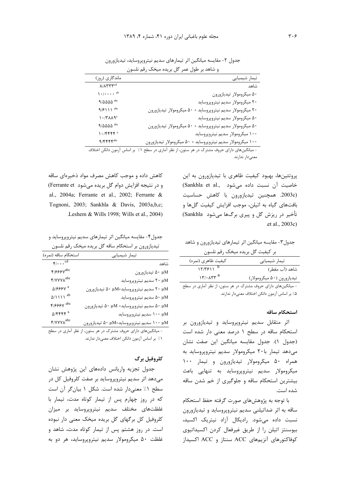|                                                | تیمار شیمیایی                                                |
|------------------------------------------------|--------------------------------------------------------------|
| $\Lambda/\Lambda\Upsilon\Upsilon\Upsilon^{cd}$ | شاهد                                                         |
| $\sum_{i=1}^{n}$                               | ۵۰ میکرومولار تیدیازورون                                     |
| $9/0000$ abc                                   | ۲۰ میکرومولار سدیم نیتروپروساید                              |
| $9/511^{abc}$                                  | ۲۰ میکرومولار سدیم نیتروپروساید<br>۵۰ میکرومولار تیدیازورون  |
| $\mathcal{N} \cdot \mathcal{N}$                | ۵۰ میکرومولار سدیم نیتروپروساید                              |
| $9/\Delta\Delta\Delta\Delta$ abc               | ۵۰ میکرومولار سدیم نیتروپروساید +<br>۵ میکرومولار تیدیازورون |
| $1.7$ $55$                                     | ۱۰۰ میکرومولار سدیم نیتروپروساید                             |
| $9/FFFF^{abc}$                                 | ۱۰۰ میکرومولار سدیم نیتروپروساید<br>۵ میکرومولار تیدیازورون  |

جدول ٢- مقايسه ميانگين اثر تيمارهاي سديم نيتروپروسايد، تيديازورون و شاهد بر طول عمر گل بریده میخک رقم نلسون

- میانگینهای دارای حروف مشترک در هر ستون، از نظر اماری در سطح ۱٪ بر اساس ازمون دانکن اختلاف معنىدار ندارند.

> پروتئینها، بهبود کیفیت ظاهری با تیدیازورون به این خاصيت آن نسبت داده مي شود .Sankhla et al (2003c. همچنین تیدیازورون با کاهش حساسیت بافتهای گیاه به اتیلن، موجب افزایش کیفیت گلها و تأخير در ريزش گل و پيرې برگها مي شود Sankhla) .et al., 2003c)

جدول۳- مقايسه ميانگين اثر تيمارهاي تيديازورون و شاهد

|  | بر کیفیت گل بریده میخک رقم نلسون |  |
|--|----------------------------------|--|

|                                 | . |                            |
|---------------------------------|---|----------------------------|
| كيفيت ظاهري (نمره)              |   | تیمار شیمیایی              |
| $17/7511^{b}$                   |   | شاهد (آب مقطر)             |
| $\mathcal{N} \cdot \mathcal{N}$ |   | تيديازورون (۵۰ ميكرومولار) |
|                                 |   |                            |

- میانگینهای دارای حروف مشترک در هر ستون، از نظر آماری در سطح ۵٪ بر اساس آزمون دانکن اختلاف معنیدار ندارند.

#### استحكام ساقه

اثر متقابل سدیم نیتروپروساید و تیدیازورون بر استحکام ساقه در سطح ١ درصد معنى دار شده است (جدول ١). جدول مقايسه ميانگين اين صفت نشان می دهد تیمار با ۲۰ میکرومولار سدیم نیتروپروساید به همراه ۵۰ میکرومولار تیدیازورون و تیمار ۱۰۰ میکرومولار سدیم نیتروپروساید به تنهایی باعث بیشترین استحکام ساقه و جلوگیری از خم شدن ساقه شده است.

با توجه به پژوهشهای صورت گرفته حفظ استحکام ساقه به اثر ضداتیلنی سدیم نیتروپروساید و تیدیازورون نسبت داده می شود. رادیکال آزاد نیتریک اکسید، بیوسنتز اتیلن را از طریق غیرفعال کردن اکسیداتیوی کوفاکتورهای آنزیمهای ACC سنتاز و ACC اکسیداز

کاهش داده و موجب کاهش مصرف مواد ذخیرهای ساقه و در نتیجه افزایش دوام گل بریده می شود Ferrante et) al., 2004a; Ferrante et al., 2002; Ferrante & Tognoni, 2003; Sankhla & Davis, 2003a,b,c; Leshem & Wills 1998; Wills et al., 2004).

جدول۴- مقايسه ميانگين اثر تيمارهاي سديم نيتروپروسايد و تیدیازورون بر استحکام ساقه گل بریده میخک رقم نلسون

| استحكام ساقه (نمره)         | تیمار شیمیایی                                  |
|-----------------------------|------------------------------------------------|
| $F/\cdots$ <sup>cd</sup>    | شاهد                                           |
| F/                          | ۵۰ μM تيديازورون                               |
| F/YYYA <sup>abc</sup>       | ۲۰ μΜ سديم نيتروپروسايد                        |
| 01888V a                    | ۲۰ μM مديم نيتروپروسايد+μM ۵۰ تيديازورون       |
| $\Delta/111^{ab}$           | ۵۰ μΜ سديم نيتروپروسايد                        |
| F/                          | ۵۰ μM مسديم نيتروپروسايد+ α٠ μM تيديازورون     |
| $\Delta$ /۴۴۴۴ <sup>a</sup> | ۱۰۰ μΜ سديم نيتروپروسايد                       |
| F/YYYA <sup>abc</sup>       | ا ۱۰۰ سديم نيتروپروسايد+۵۰ µM تيديازورون A۰ µM |

- میانگینهای دارای حروف مشترک در هر ستون، از نظر آماری در سطح ١٪ بر اساس آزمون دانكن اختلاف معنىدار ندارند.

### كلروفيل برگ

جدول تجزيه واريانس دادههاى اين پژوهش نشان میدهد اثر سدیم نیتروپروساید بر صفت کلروفیل کل در سطح ١٪ معنىدار شده است. شكل ١ بيان گر آن است كه در روز چهارم پس از تيمار كوتاه مدت، تيمار با غلظتهای مختلف سدیم نیتروپروساید بر میزان کلروفیل کل برگهای گل بریده میخک معنی دار نبوده است. در روز هشتم پس از تیمار کوتاه مدت، شاهد و غلظت ۵۰ میکرومولار سدیم نیتروپروساید، هر دو به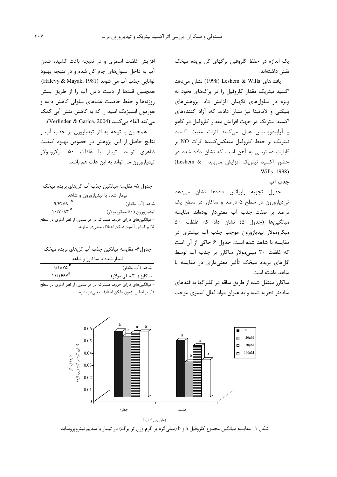یک اندازه در حفظ کلروفیل برگهای گل بریده میخک نقش داشتهاند.

يافتەھاي Leshem & Wills (1998) نشان مى،دھد اکسید نیتریک مقدار کلروفیل را در برگهای نخود به ویژه در سلولهای نگهبان افزایش داد. پژوهشهای بلیگنی و لاماتینا نیز نشان دادند که، آزاد کنندههای اکسید نیتریک در جهت افزایش مقدار کلروفیل در کاهو و آرابیدوپسیس عمل میکنند اثرات مثبت اکسید نيتريك بر حفظ كلروفيل منعكس كنندة اثرات NO بر قابلیت دسترسی به آهن است که نشان داده شده در حضور اکسید نیتریک افزایش می یابد (Leshem & .Wills, 1998)

جذب آب

جدول تجزيه واريانس دادهها نشان مىدهد تی دیازورون در سطح ۵ درصد و ساکارز در سطح یک درصد بر صفت جذب آب معنىدار بودهاند. مقايسه میانگینها (جدول ۵) نشان داد که غلظت ۵۰ میکرومولار تیدیازورون موجب جذب آب بیشتری در مقایسه با شاهد شده است. جدول ۶ حاکی از آن است که غلظت ۳۰ میلی مولار ساکارز بر جذب آب توسط گلهای بریده میخک تأثیر معنیداری در مقایسه با شاهد داشته است.

ساکارز منتقل شده از طریق ساقه در گلبرگها به قندهای سادهتر تجزیه شده و به عنوان مواد فعال اسمزی موجب

افزایش غلظت اسمزی و در نتیجه باعث کشیده شدن آب به داخل سلولهای جام گل شده و در نتیجه بهبود توانايي جذب آب مي شوند (Halevy & Mayak, 1981). همچنین قندها از دست دادن آب را از طریق بستن روزنهها و حفظ خاصیت غشاهای سلولی کاهش داده و هورمون ابسیزیک اسید را که به کاهش تنش آبی کمک مي كند القاء مي كنند (Verlinden & Garica, 2004). همچنین با توجه به اثر تیدیازورن بر جذب آب و نتايج حاصل از اين پژوهش در خصوص بهبود كيفيت

ظاهري توسط تيمار با غلظت ۵۰ ميكرومولار تیدیازورون می تواند به این علت هم باشد.

| جدول ۵- مقایسه میانگین جذب آب گلهای بریده میخک |
|------------------------------------------------|
| تیمار شده با تیدیازورون و شاهد                 |

| 9/9901            | شاهد (آب مقطر)                                                |
|-------------------|---------------------------------------------------------------|
| $1.7Y \cdot XY^a$ | تيديازورون (۵۰ ميكرومولار)                                    |
|                   | - میانگینهای دارای حروف مشترک در هر ستون، از نظر آماری در سطح |

۵٪ بر اساس آزمون دانکن اختلاف معنیدار ندارند.

| جدول۶- مقايسه ميانگين جذب آب گلهاي بريده ميخک |
|-----------------------------------------------|
| تیمار شده با ساکارز و شاهد                    |

| 9/1110                                                                                                                                                                                                                                                                                                              | شاهد (آب مقطر)                   |
|---------------------------------------------------------------------------------------------------------------------------------------------------------------------------------------------------------------------------------------------------------------------------------------------------------------------|----------------------------------|
| $11/155y^a$                                                                                                                                                                                                                                                                                                         | ساکارز (۳۰ میلی مولار)           |
| $\frac{1}{2}$ $\frac{1}{2}$ $\frac{1}{2}$ $\frac{1}{2}$ $\frac{1}{2}$ $\frac{1}{2}$ $\frac{1}{2}$ $\frac{1}{2}$ $\frac{1}{2}$ $\frac{1}{2}$ $\frac{1}{2}$ $\frac{1}{2}$ $\frac{1}{2}$ $\frac{1}{2}$ $\frac{1}{2}$ $\frac{1}{2}$ $\frac{1}{2}$ $\frac{1}{2}$ $\frac{1}{2}$ $\frac{1}{2}$ $\frac{1}{2}$ $\frac{1}{2}$ | _ _ _<br>$\leq$ . $\blacksquare$ |

- میانگینهای دارای حروف مشترک در هر ستون، از نظر آماری در سطح ٠١٪ بر اساس آزمون دانكن اختلاف معنىدار ندارند.



زمان پس از تیمار

شکل ۱- مقایسه میانگین مجموع کلروفیل a و b (میلیگرم بر گرم وزن تر برگ) در تیمار با سدیم نیتروپروساید